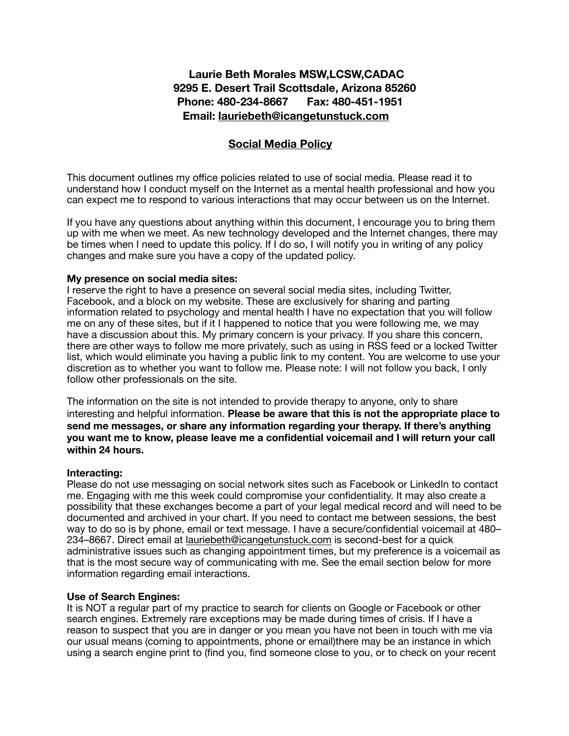# **Laurie Beth Morales MSW,LCSW,CADAC 9295 E. Desert Trail Scottsdale, Arizona 85260 Phone: 480-234-8667 Fax: 480-451-1951 Email: [lauriebeth@icangetunstuck.com](mailto:lauriebeth@icangetunstuck.com)**

## **Social Media Policy**

This document outlines my office policies related to use of social media. Please read it to understand how I conduct myself on the Internet as a mental health professional and how you can expect me to respond to various interactions that may occur between us on the Internet.

If you have any questions about anything within this document, I encourage you to bring them up with me when we meet. As new technology developed and the Internet changes, there may be times when I need to update this policy. If I do so, I will notify you in writing of any policy changes and make sure you have a copy of the updated policy.

#### **My presence on social media sites:**

I reserve the right to have a presence on several social media sites, including Twitter, Facebook, and a block on my website. These are exclusively for sharing and parting information related to psychology and mental health I have no expectation that you will follow me on any of these sites, but if it I happened to notice that you were following me, we may have a discussion about this. My primary concern is your privacy. If you share this concern, there are other ways to follow me more privately, such as using in RSS feed or a locked Twitter list, which would eliminate you having a public link to my content. You are welcome to use your discretion as to whether you want to follow me. Please note: I will not follow you back, I only follow other professionals on the site.

The information on the site is not intended to provide therapy to anyone, only to share interesting and helpful information. **Please be aware that this is not the appropriate place to send me messages, or share any information regarding your therapy. If there's anything you want me to know, please leave me a confidential voicemail and I will return your call within 24 hours.** 

### **Interacting:**

Please do not use messaging on social network sites such as Facebook or LinkedIn to contact me. Engaging with me this week could compromise your confidentiality. It may also create a possibility that these exchanges become a part of your legal medical record and will need to be documented and archived in your chart. If you need to contact me between sessions, the best way to do so is by phone, email or text message. I have a secure/confidential voicemail at 480– 234–8667. Direct email at [lauriebeth@icangetunstuck.com](mailto:lauriebeth@icangetunstuck.com) is second-best for a quick administrative issues such as changing appointment times, but my preference is a voicemail as that is the most secure way of communicating with me. See the email section below for more information regarding email interactions.

### **Use of Search Engines:**

It is NOT a regular part of my practice to search for clients on Google or Facebook or other search engines. Extremely rare exceptions may be made during times of crisis. If I have a reason to suspect that you are in danger or you mean you have not been in touch with me via our usual means (coming to appointments, phone or email)there may be an instance in which using a search engine print to (find you, find someone close to you, or to check on your recent